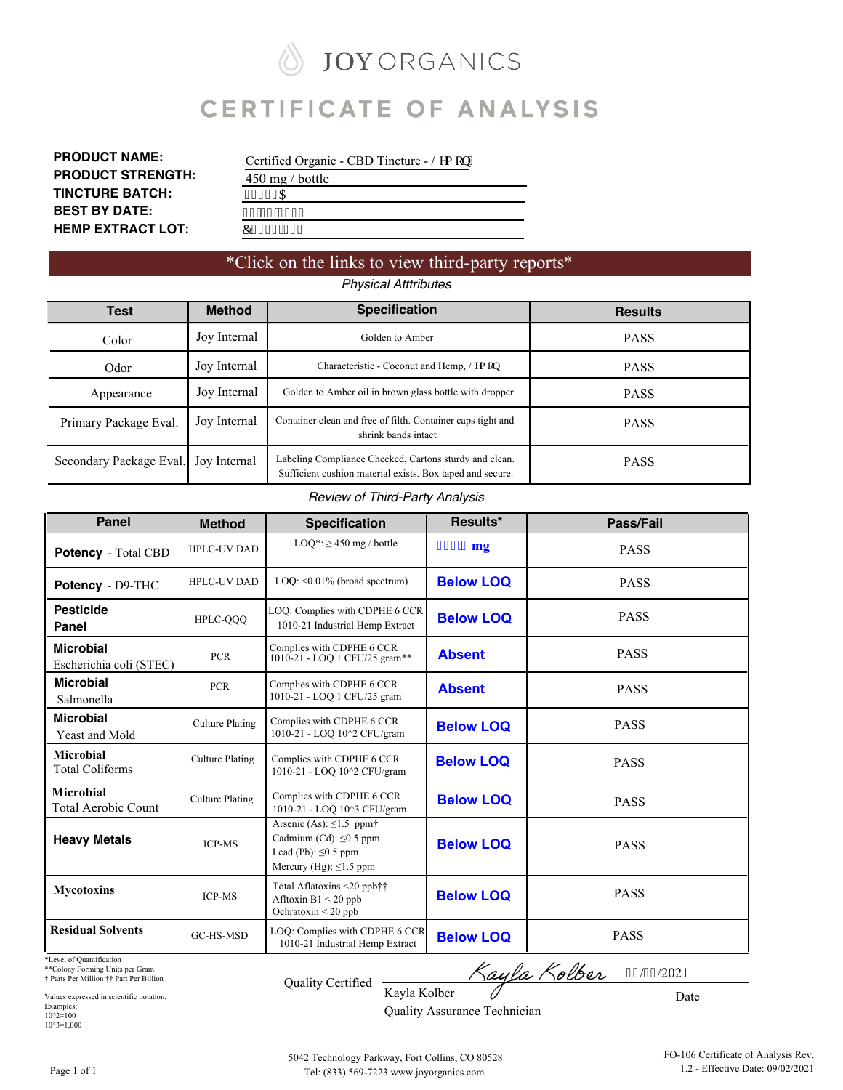# **JOY ORGANICS** ∥ **CERTIFICATE OF ANALYSIS**

| <b>PRODUCT NAME:</b>     |
|--------------------------|
| <b>PRODUCT STRENGTH:</b> |
| <b>TINCTURE BATCH:</b>   |
| <b>BEST BY DATE:</b>     |
| <b>HEMP EXTRACT LOT:</b> |

| Certified Organic - CBD Tincture - Ngo qp" |
|--------------------------------------------|
| $450 \text{ mg}$ / bottle                  |
| 43494C                                     |
| 254; 4245                                  |
| E243:/224                                  |

### \*Click on the links to view third-party reports\* *Physical Atttributes*

| Test                    | <b>Method</b><br><b>Specification</b> |                                                                                                                     | <b>Results</b> |  |  |  |  |  |
|-------------------------|---------------------------------------|---------------------------------------------------------------------------------------------------------------------|----------------|--|--|--|--|--|
| Color                   | Joy Internal                          | Golden to Amber                                                                                                     | <b>PASS</b>    |  |  |  |  |  |
| Odor                    | Joy Internal                          | Characteristic - Coconut and Hemp, Ngo qp                                                                           | <b>PASS</b>    |  |  |  |  |  |
| Appearance              | Joy Internal                          | Golden to Amber oil in brown glass bottle with dropper.                                                             | <b>PASS</b>    |  |  |  |  |  |
| Primary Package Eval.   | Joy Internal                          | Container clean and free of filth. Container caps tight and<br>shrink bands intact                                  | <b>PASS</b>    |  |  |  |  |  |
| Secondary Package Eval. | Joy Internal                          | Labeling Compliance Checked, Cartons sturdy and clean.<br>Sufficient cushion material exists. Box taped and secure. | <b>PASS</b>    |  |  |  |  |  |

#### *Review of Third-Party Analysis*

| <b>Panel</b>                                | <b>Method</b>          | <b>Specification</b>                                                                                                      | Results*          | Pass/Fail   |
|---------------------------------------------|------------------------|---------------------------------------------------------------------------------------------------------------------------|-------------------|-------------|
| <b>Potency</b> - Total CBD                  | <b>HPLC-UV DAD</b>     | $LOO^*$ : $\geq$ 450 mg / bottle                                                                                          | $6:90 \text{ mg}$ | <b>PASS</b> |
| Potency - D9-THC                            | <b>HPLC-UV DAD</b>     | $LOQ: \leq 0.01\%$ (broad spectrum)<br><b>Below LOQ</b>                                                                   |                   | <b>PASS</b> |
| <b>Pesticide</b><br>Panel                   | HPLC-QQQ               | LOQ: Complies with CDPHE 6 CCR<br>1010-21 Industrial Hemp Extract                                                         | <b>Below LOQ</b>  | <b>PASS</b> |
| <b>Microbial</b><br>Escherichia coli (STEC) | <b>PCR</b>             | Complies with CDPHE 6 CCR<br>1010-21 - LOQ 1 CFU/25 gram**                                                                | <b>Absent</b>     | <b>PASS</b> |
| <b>Microbial</b><br>Salmonella              | <b>PCR</b>             | Complies with CDPHE 6 CCR<br>1010-21 - LOQ 1 CFU/25 gram                                                                  | <b>Absent</b>     | <b>PASS</b> |
| <b>Microbial</b><br>Yeast and Mold          | <b>Culture Plating</b> | Complies with CDPHE 6 CCR<br>1010-21 - LOQ 10^2 CFU/gram                                                                  | <b>Below LOQ</b>  | <b>PASS</b> |
| <b>Microbial</b><br><b>Total Coliforms</b>  | <b>Culture Plating</b> | Complies with CDPHE 6 CCR<br>1010-21 - LOO 10^2 CFU/gram                                                                  | <b>Below LOQ</b>  | <b>PASS</b> |
| <b>Microbial</b><br>Total Aerobic Count     | <b>Culture Plating</b> | Complies with CDPHE 6 CCR<br>1010-21 - LOO 10^3 CFU/gram                                                                  | <b>Below LOQ</b>  | <b>PASS</b> |
| <b>Heavy Metals</b>                         | <b>ICP-MS</b>          | Arsenic (As): $\leq 1.5$ ppm<br>Cadmium (Cd): $\leq 0.5$ ppm<br>Lead (Pb): $\leq 0.5$ ppm<br>Mercury (Hg): $\leq$ 1.5 ppm | <b>Below LOQ</b>  | <b>PASS</b> |
| <b>Mycotoxins</b>                           | <b>ICP-MS</b>          | Total Aflatoxins <20 ppb††<br>Afltoxin $B1 < 20$ ppb<br>Ochratoxin $\leq$ 20 ppb                                          | <b>Below LOQ</b>  | <b>PASS</b> |
| <b>Residual Solvents</b>                    | GC-HS-MSD              | LOQ: Complies with CDPHE 6 CCR<br>1010-21 Industrial Hemp Extract                                                         | <b>Below LOQ</b>  | <b>PASS</b> |

\*Level of Quantification

\*\*Colony Forming Units per Gram † Parts Per Million †† Part Per Billion

Values expressed in scientific notation. Examples:<br>10^2=100<br>10^3=1,000

Kayla Kolber Quality Certified Kayla Kolber

Date

32/28/2021

Quality Assurance Technician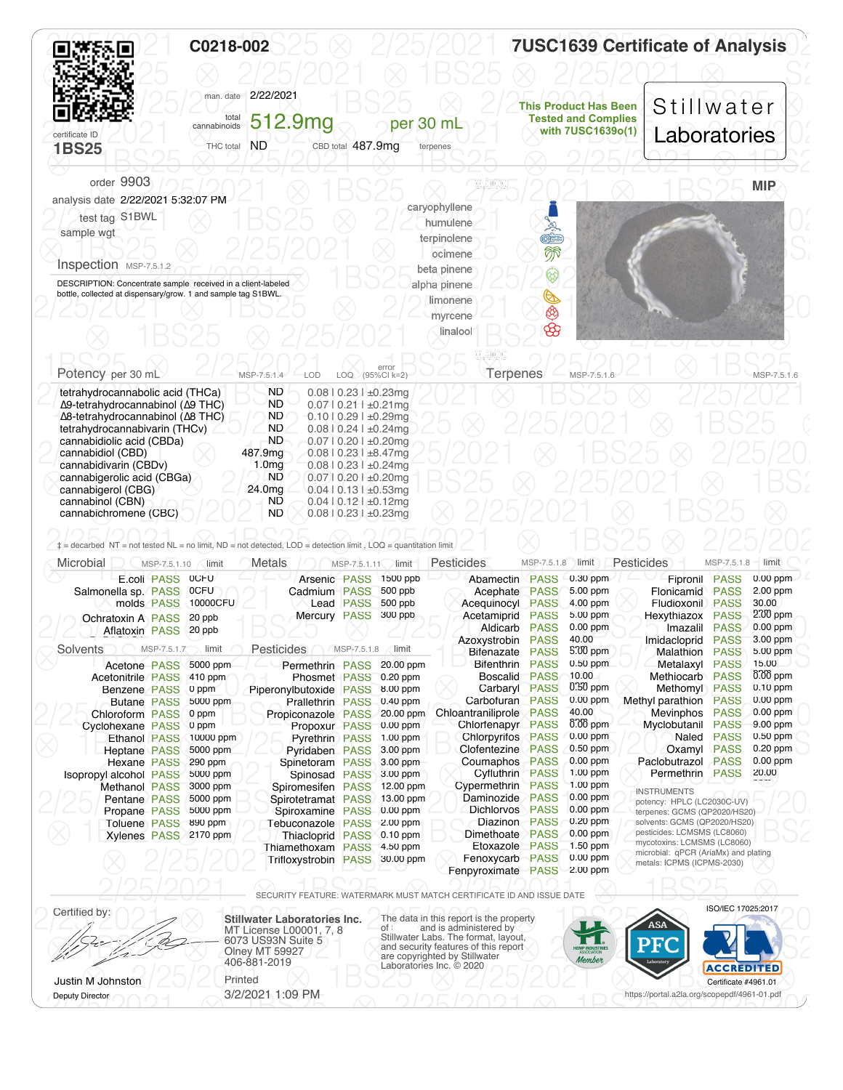<span id="page-1-0"></span>

|                                                                                                                                                                                                                                                                                                                                                                                    |              | C0218-002                                                                                    |                                                                                                                                                                                       |                                                                                  |                                                                                                                                |                                                                                                                                                                                                                                 |                                                                                                |                                                                                                                                                             | <b>7USC1639 Certificate of Analysis</b>                                                                                                                                                                               |                                                                                        |                                                                                                                                                                  |
|------------------------------------------------------------------------------------------------------------------------------------------------------------------------------------------------------------------------------------------------------------------------------------------------------------------------------------------------------------------------------------|--------------|----------------------------------------------------------------------------------------------|---------------------------------------------------------------------------------------------------------------------------------------------------------------------------------------|----------------------------------------------------------------------------------|--------------------------------------------------------------------------------------------------------------------------------|---------------------------------------------------------------------------------------------------------------------------------------------------------------------------------------------------------------------------------|------------------------------------------------------------------------------------------------|-------------------------------------------------------------------------------------------------------------------------------------------------------------|-----------------------------------------------------------------------------------------------------------------------------------------------------------------------------------------------------------------------|----------------------------------------------------------------------------------------|------------------------------------------------------------------------------------------------------------------------------------------------------------------|
|                                                                                                                                                                                                                                                                                                                                                                                    |              |                                                                                              |                                                                                                                                                                                       |                                                                                  |                                                                                                                                |                                                                                                                                                                                                                                 |                                                                                                |                                                                                                                                                             |                                                                                                                                                                                                                       |                                                                                        |                                                                                                                                                                  |
|                                                                                                                                                                                                                                                                                                                                                                                    |              | man. date                                                                                    | 2/22/2021                                                                                                                                                                             |                                                                                  |                                                                                                                                |                                                                                                                                                                                                                                 |                                                                                                | <b>This Product Has Been</b>                                                                                                                                | Stillwater                                                                                                                                                                                                            |                                                                                        |                                                                                                                                                                  |
| certificate ID                                                                                                                                                                                                                                                                                                                                                                     |              | total<br>cannabinoids                                                                        | 512.9mg                                                                                                                                                                               |                                                                                  | per 30 mL                                                                                                                      |                                                                                                                                                                                                                                 |                                                                                                | <b>Tested and Complies</b><br>with 7USC1639o(1)                                                                                                             | Laboratories                                                                                                                                                                                                          |                                                                                        |                                                                                                                                                                  |
| <b>1BS25</b>                                                                                                                                                                                                                                                                                                                                                                       |              | THC total                                                                                    | <b>ND</b>                                                                                                                                                                             | CBD total 487.9mg                                                                |                                                                                                                                | terpenes                                                                                                                                                                                                                        |                                                                                                |                                                                                                                                                             |                                                                                                                                                                                                                       |                                                                                        |                                                                                                                                                                  |
| order 9903                                                                                                                                                                                                                                                                                                                                                                         |              |                                                                                              |                                                                                                                                                                                       |                                                                                  |                                                                                                                                |                                                                                                                                                                                                                                 |                                                                                                |                                                                                                                                                             |                                                                                                                                                                                                                       |                                                                                        | <b>MIP</b>                                                                                                                                                       |
| analysis date 2/22/2021 5:32:07 PM                                                                                                                                                                                                                                                                                                                                                 |              |                                                                                              |                                                                                                                                                                                       |                                                                                  |                                                                                                                                | caryophyllene                                                                                                                                                                                                                   |                                                                                                |                                                                                                                                                             |                                                                                                                                                                                                                       |                                                                                        |                                                                                                                                                                  |
| test tag S1BWL                                                                                                                                                                                                                                                                                                                                                                     |              |                                                                                              |                                                                                                                                                                                       |                                                                                  |                                                                                                                                | humulene                                                                                                                                                                                                                        |                                                                                                |                                                                                                                                                             |                                                                                                                                                                                                                       |                                                                                        |                                                                                                                                                                  |
| sample wgt                                                                                                                                                                                                                                                                                                                                                                         |              |                                                                                              |                                                                                                                                                                                       |                                                                                  |                                                                                                                                | terpinolene                                                                                                                                                                                                                     | 「魚産卵                                                                                           |                                                                                                                                                             |                                                                                                                                                                                                                       |                                                                                        |                                                                                                                                                                  |
| Inspection MSP-7.5.1.2                                                                                                                                                                                                                                                                                                                                                             |              |                                                                                              |                                                                                                                                                                                       |                                                                                  |                                                                                                                                | ocimene                                                                                                                                                                                                                         |                                                                                                |                                                                                                                                                             |                                                                                                                                                                                                                       |                                                                                        |                                                                                                                                                                  |
| DESCRIPTION: Concentrate sample received in a client-labeled                                                                                                                                                                                                                                                                                                                       |              |                                                                                              |                                                                                                                                                                                       |                                                                                  |                                                                                                                                | beta pinene<br>alpha pinene                                                                                                                                                                                                     | ଢ଼                                                                                             |                                                                                                                                                             |                                                                                                                                                                                                                       |                                                                                        |                                                                                                                                                                  |
| bottle, collected at dispensary/grow. 1 and sample tag S1BWL.                                                                                                                                                                                                                                                                                                                      |              |                                                                                              |                                                                                                                                                                                       |                                                                                  |                                                                                                                                | limonene                                                                                                                                                                                                                        | ⋐                                                                                              |                                                                                                                                                             |                                                                                                                                                                                                                       |                                                                                        |                                                                                                                                                                  |
|                                                                                                                                                                                                                                                                                                                                                                                    |              |                                                                                              |                                                                                                                                                                                       |                                                                                  |                                                                                                                                | myrcene                                                                                                                                                                                                                         |                                                                                                |                                                                                                                                                             |                                                                                                                                                                                                                       |                                                                                        |                                                                                                                                                                  |
|                                                                                                                                                                                                                                                                                                                                                                                    |              |                                                                                              |                                                                                                                                                                                       |                                                                                  |                                                                                                                                | linalool                                                                                                                                                                                                                        | $\bigcircled{S}$                                                                               |                                                                                                                                                             |                                                                                                                                                                                                                       |                                                                                        |                                                                                                                                                                  |
|                                                                                                                                                                                                                                                                                                                                                                                    |              |                                                                                              |                                                                                                                                                                                       |                                                                                  |                                                                                                                                |                                                                                                                                                                                                                                 |                                                                                                |                                                                                                                                                             |                                                                                                                                                                                                                       |                                                                                        |                                                                                                                                                                  |
| Potency per 30 mL                                                                                                                                                                                                                                                                                                                                                                  |              |                                                                                              | MSP-7.5.1.4<br>LOD                                                                                                                                                                    | LOQ.                                                                             | error<br>(95%Cl k=2)                                                                                                           | <b>Terpenes</b>                                                                                                                                                                                                                 |                                                                                                | MSP-7.5.1.6                                                                                                                                                 |                                                                                                                                                                                                                       |                                                                                        | MSP-7.5.1.6                                                                                                                                                      |
| tetrahydrocannabolic acid (THCa)<br>Δ9-tetrahydrocannabinol (Δ9 THC)                                                                                                                                                                                                                                                                                                               |              |                                                                                              | <b>ND</b><br><b>ND</b>                                                                                                                                                                | $0.08$   0.23   $\pm 0.23$ mg<br>$0.07$   0.21   $\pm 0.21$ mg                   |                                                                                                                                |                                                                                                                                                                                                                                 |                                                                                                |                                                                                                                                                             |                                                                                                                                                                                                                       |                                                                                        |                                                                                                                                                                  |
| Δ8-tetrahydrocannabinol (Δ8 THC)                                                                                                                                                                                                                                                                                                                                                   |              |                                                                                              | ND                                                                                                                                                                                    | $0.10$   $0.29$   $\pm 0.29$ mg                                                  |                                                                                                                                |                                                                                                                                                                                                                                 |                                                                                                |                                                                                                                                                             |                                                                                                                                                                                                                       |                                                                                        |                                                                                                                                                                  |
| tetrahydrocannabivarin (THCv)                                                                                                                                                                                                                                                                                                                                                      |              |                                                                                              | ND<br><b>ND</b>                                                                                                                                                                       | $0.08$   0.24   $\pm 0.24$ mg                                                    |                                                                                                                                |                                                                                                                                                                                                                                 |                                                                                                |                                                                                                                                                             |                                                                                                                                                                                                                       |                                                                                        |                                                                                                                                                                  |
| cannabidiolic acid (CBDa)<br>cannabidiol (CBD)                                                                                                                                                                                                                                                                                                                                     |              |                                                                                              | 487.9mg                                                                                                                                                                               | $0.07$   $0.20$   $\pm 0.20$ mg<br>$0.08$   0.23   $\pm 8.47$ mg                 |                                                                                                                                |                                                                                                                                                                                                                                 |                                                                                                |                                                                                                                                                             |                                                                                                                                                                                                                       |                                                                                        |                                                                                                                                                                  |
| cannabidivarin (CBDv)                                                                                                                                                                                                                                                                                                                                                              |              |                                                                                              | 1.0 <sub>mg</sub>                                                                                                                                                                     | $0.08$   0.23   $\pm 0.24$ mg                                                    |                                                                                                                                |                                                                                                                                                                                                                                 |                                                                                                |                                                                                                                                                             |                                                                                                                                                                                                                       |                                                                                        |                                                                                                                                                                  |
| cannabigerolic acid (CBGa)<br>cannabigerol (CBG)                                                                                                                                                                                                                                                                                                                                   |              |                                                                                              | ND<br>24.0mg                                                                                                                                                                          | $0.07$   0.20   $\pm 0.20$ mg<br>$0.04$   0.13   $\pm 0.53$ mg                   |                                                                                                                                |                                                                                                                                                                                                                                 |                                                                                                |                                                                                                                                                             |                                                                                                                                                                                                                       |                                                                                        |                                                                                                                                                                  |
| cannabinol (CBN)                                                                                                                                                                                                                                                                                                                                                                   |              |                                                                                              |                                                                                                                                                                                       |                                                                                  |                                                                                                                                |                                                                                                                                                                                                                                 |                                                                                                |                                                                                                                                                             |                                                                                                                                                                                                                       |                                                                                        |                                                                                                                                                                  |
| cannabichromene (CBC)<br>E.coli PASS OCFU                                                                                                                                                                                                                                                                                                                                          | MSP-7.5.1.10 | limit                                                                                        | ND<br>ND<br>Metals                                                                                                                                                                    | $0.04$   $0.12$   $\pm 0.12$ mg<br>$0.08$   0.23   $\pm 0.23$ mg<br>MSP-7.5.1.11 | limit<br>Arsenic PASS 1500 ppb                                                                                                 | <b>Pesticides</b><br>Abamectin PASS                                                                                                                                                                                             | MSP-7.5.1.8                                                                                    | limit<br>$0.30$ ppm                                                                                                                                         | Pesticides<br>Fipronil                                                                                                                                                                                                | MSP-7.5.1.8<br><b>PASS</b>                                                             | limit<br>$0.00$ ppm                                                                                                                                              |
| $\ddagger$ = decarbed NT = not tested NL = no limit, ND = not detected, LOD = detection limit, LOQ = quantitation limit<br>Microbial<br>Salmonella sp. PASS 0CFU<br>Ochratoxin A PASS 20 ppb<br>Aflatoxin PASS 20 ppb<br>Solvents<br>Acetone PASS<br>Acetonitrile PASS 410 ppm<br><b>Benzene PASS</b><br><b>Butane PASS</b><br>Chloroform PASS<br>Cyclohexane PASS<br>Ethanol PASS | MSP-7.5.1.7  | molds PASS 10000CFU<br>limit<br>5000 ppm<br>0 ppm<br>5000 ppm<br>0 ppm<br>0 ppm<br>10000 ppm | Cadmium PASS<br>Mercury PASS<br>Pesticides<br>Permethrin PASS 20.00 ppm<br>Piperonylbutoxide PASS<br>Prallethrin PASS<br>Propiconazole PASS<br>Propoxur PASS<br><b>Pyrethrin PASS</b> | Lead PASS<br>MSP-7.5.1.8                                                         | 500 ppb<br>500 ppb<br>300 ppb<br>limit<br>Phosmet PASS 0.20 ppm<br>8.00 ppm<br>0.40 ppm<br>20.00 ppm<br>$0.00$ ppm<br>1.00 ppm | Acephate<br>Acequinocyl<br>Acetamiprid<br>Aldicarb PASS<br>Azoxystrobin PASS<br>Bifenazate<br>Bifenthrin<br>Boscalid PASS<br>Carbaryl PASS<br>Carbofuran<br>Chloantraniliprole<br>Chlorfenapyr PASS<br><b>Chlorpyrifos PASS</b> | <b>PASS</b><br><b>PASS</b><br><b>PASS</b><br><b>PASS</b><br><b>PASS</b><br><b>PASS</b><br>PASS | 5.00 ppm<br>4.00 ppm<br>5.00 ppm<br>$0.00$ ppm<br>40.00<br>5.00 ppm<br>$0.50$ ppm<br>10.00<br>$0.50$ ppm<br>$0.00$ ppm<br>40.00<br>$0.00$ ppm<br>$0.00$ ppm | Flonicamid<br>Fludioxonil PASS<br>Hexythiazox PASS<br>Imazalil PASS<br>Imidacloprid<br>Malathion<br>Metalaxyl<br>Methiocarb PASS<br>Methomyl PASS<br>Methyl parathion PASS<br>Mevinphos<br>Myclobutanil PASS<br>Naled | <b>PASS</b><br><b>PASS</b><br><b>PASS</b><br><b>PASS</b><br><b>PASS</b><br><b>PASS</b> | 2.00 ppm<br>30.00<br>$2.00$ ppm<br>$0.00$ ppm<br>3.00 ppm<br>5.00 ppm<br>15.00<br>$0.00$ ppm<br>$0.10$ ppm<br>$0.00$ ppm<br>$0.00$ ppm<br>9.00 ppm<br>$0.50$ ppm |
| <b>Heptane PASS</b><br>Hexane PASS                                                                                                                                                                                                                                                                                                                                                 |              | 5000 ppm<br>290 ppm                                                                          | <b>Pyridaben PASS</b>                                                                                                                                                                 |                                                                                  | 3.00 ppm<br>3.00 ppm                                                                                                           | Clofentezine<br>Coumaphos                                                                                                                                                                                                       | PASS<br><b>PASS</b>                                                                            | 0.50 ppm<br>$0.00$ ppm                                                                                                                                      | Oxamyl PASS<br>Paclobutrazol PASS                                                                                                                                                                                     |                                                                                        | $0.20$ ppm<br>$0.00$ ppm                                                                                                                                         |
| Isopropyl alcohol PASS                                                                                                                                                                                                                                                                                                                                                             |              | 5000 ppm                                                                                     | Spinetoram PASS<br>Spinosad PASS                                                                                                                                                      |                                                                                  | 3.00 ppm                                                                                                                       | Cyfluthrin PASS                                                                                                                                                                                                                 |                                                                                                | 1.00 ppm                                                                                                                                                    | Permethrin PASS                                                                                                                                                                                                       |                                                                                        | 20.00                                                                                                                                                            |
| <b>Methanol PASS</b>                                                                                                                                                                                                                                                                                                                                                               |              | 3000 ppm                                                                                     | Spiromesifen PASS                                                                                                                                                                     |                                                                                  | 12.00 ppm                                                                                                                      | Cypermethrin<br>Daminozide                                                                                                                                                                                                      | <b>PASS</b><br>PASS                                                                            | 1.00 ppm<br>$0.00$ ppm                                                                                                                                      | <b>INSTRUMENTS</b>                                                                                                                                                                                                    |                                                                                        |                                                                                                                                                                  |
| Pentane PASS<br>Propane PASS                                                                                                                                                                                                                                                                                                                                                       |              | 5000 ppm<br>5000 ppm                                                                         | Spirotetramat PASS<br>Spiroxamine PASS                                                                                                                                                |                                                                                  | 13.00 ppm<br>$0.00$ ppm                                                                                                        | <b>Dichlorvos</b>                                                                                                                                                                                                               | PASS                                                                                           | $0.00$ ppm                                                                                                                                                  | potency: HPLC (LC2030C-UV)<br>terpenes: GCMS (QP2020/HS20)                                                                                                                                                            |                                                                                        |                                                                                                                                                                  |
| <b>Toluene PASS</b>                                                                                                                                                                                                                                                                                                                                                                |              | 890 ppm                                                                                      | Tebuconazole PASS 2.00 ppm                                                                                                                                                            |                                                                                  |                                                                                                                                | Diazinon PASS                                                                                                                                                                                                                   |                                                                                                | $0.20$ ppm<br>$0.00$ ppm                                                                                                                                    | solvents: GCMS (QP2020/HS20)<br>pesticides: LCMSMS (LC8060)                                                                                                                                                           |                                                                                        |                                                                                                                                                                  |
| Xylenes PASS 2170 ppm                                                                                                                                                                                                                                                                                                                                                              |              |                                                                                              | Thiacloprid PASS 0.10 ppm<br>Thiamethoxam PASS                                                                                                                                        |                                                                                  | 4.50 ppm                                                                                                                       | Dimethoate<br>Etoxazole PASS                                                                                                                                                                                                    | PASS                                                                                           | 1.50 ppm                                                                                                                                                    | mycotoxins: LCMSMS (LC8060)                                                                                                                                                                                           |                                                                                        |                                                                                                                                                                  |
|                                                                                                                                                                                                                                                                                                                                                                                    |              |                                                                                              | <b>Trifloxystrobin PASS</b>                                                                                                                                                           |                                                                                  | 30.00 ppm                                                                                                                      | Fenoxycarb PASS                                                                                                                                                                                                                 |                                                                                                | $0.00$ ppm<br>2.00 ppm                                                                                                                                      | microbial: qPCR (AriaMx) and plating<br>metals: ICPMS (ICPMS-2030)                                                                                                                                                    |                                                                                        |                                                                                                                                                                  |
|                                                                                                                                                                                                                                                                                                                                                                                    |              |                                                                                              |                                                                                                                                                                                       |                                                                                  |                                                                                                                                | Fenpyroximate PASS                                                                                                                                                                                                              |                                                                                                |                                                                                                                                                             |                                                                                                                                                                                                                       |                                                                                        |                                                                                                                                                                  |
| Certified by:                                                                                                                                                                                                                                                                                                                                                                      |              |                                                                                              |                                                                                                                                                                                       |                                                                                  |                                                                                                                                | SECURITY FEATURE: WATERMARK MUST MATCH CERTIFICATE ID AND ISSUE DATE                                                                                                                                                            |                                                                                                |                                                                                                                                                             |                                                                                                                                                                                                                       | ISO/IEC 17025:2017                                                                     |                                                                                                                                                                  |
|                                                                                                                                                                                                                                                                                                                                                                                    |              |                                                                                              | <b>Stillwater Laboratories Inc.</b><br>MT License L00001, 7, 8                                                                                                                        |                                                                                  | Of:                                                                                                                            | The data in this report is the property<br>and is administered by                                                                                                                                                               |                                                                                                |                                                                                                                                                             | <b>ASA</b>                                                                                                                                                                                                            |                                                                                        |                                                                                                                                                                  |
|                                                                                                                                                                                                                                                                                                                                                                                    |              |                                                                                              | 6073 US93N Suite 5                                                                                                                                                                    |                                                                                  |                                                                                                                                | Stillwater Labs. The format, layout,<br>and security features of this report                                                                                                                                                    |                                                                                                |                                                                                                                                                             | ${\bf P}{\bf F}$                                                                                                                                                                                                      |                                                                                        |                                                                                                                                                                  |
|                                                                                                                                                                                                                                                                                                                                                                                    |              |                                                                                              | Olney MT 59927<br>406-881-2019                                                                                                                                                        |                                                                                  |                                                                                                                                | are copyrighted by Stillwater                                                                                                                                                                                                   |                                                                                                | MP INDUSTRI<br>ASSOCIATION<br>Member                                                                                                                        |                                                                                                                                                                                                                       |                                                                                        |                                                                                                                                                                  |
| Justin M Johnston                                                                                                                                                                                                                                                                                                                                                                  |              |                                                                                              | Printed                                                                                                                                                                               |                                                                                  | Laboratories Inc. © 2020                                                                                                       |                                                                                                                                                                                                                                 |                                                                                                |                                                                                                                                                             |                                                                                                                                                                                                                       | <b>ACCREDITED</b><br>Certificate #4961.01                                              |                                                                                                                                                                  |